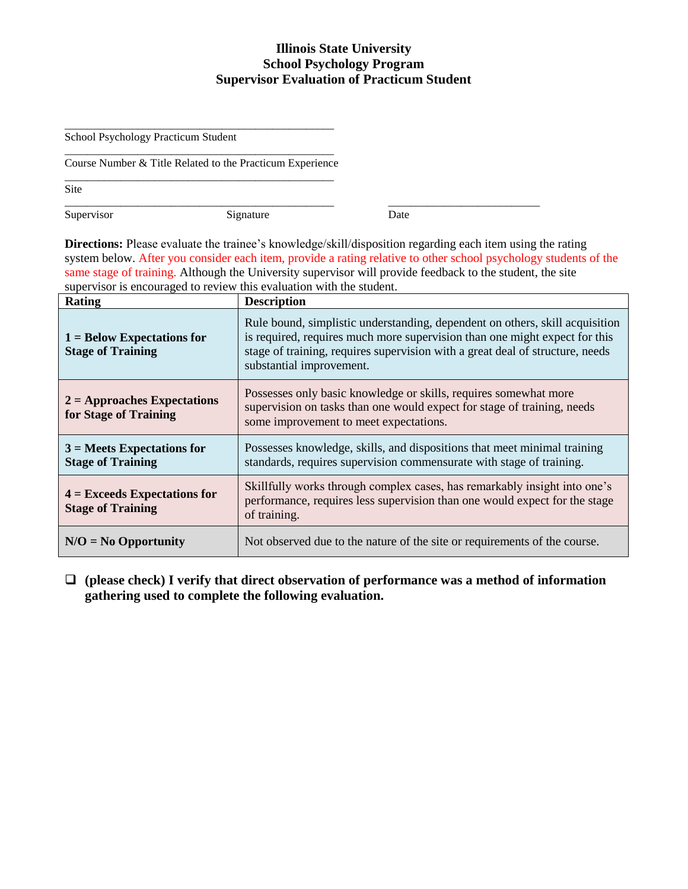#### **Illinois State University School Psychology Program Supervisor Evaluation of Practicum Student**

School Psychology Practicum Student

\_\_\_\_\_\_\_\_\_\_\_\_\_\_\_\_\_\_\_\_\_\_\_\_\_\_\_\_\_\_\_\_\_\_\_\_\_\_\_\_\_\_\_\_\_\_\_\_ Course Number & Title Related to the Practicum Experience \_\_\_\_\_\_\_\_\_\_\_\_\_\_\_\_\_\_\_\_\_\_\_\_\_\_\_\_\_\_\_\_\_\_\_\_\_\_\_\_\_\_\_\_\_\_\_\_

\_\_\_\_\_\_\_\_\_\_\_\_\_\_\_\_\_\_\_\_\_\_\_\_\_\_\_\_\_\_\_\_\_\_\_\_\_\_\_\_\_\_\_\_\_\_\_\_

Site

Supervisor Signature Date

**Directions:** Please evaluate the trainee's knowledge/skill/disposition regarding each item using the rating system below. After you consider each item, provide a rating relative to other school psychology students of the same stage of training. Although the University supervisor will provide feedback to the student, the site supervisor is encouraged to review this evaluation with the student.

\_\_\_\_\_\_\_\_\_\_\_\_\_\_\_\_\_\_\_\_\_\_\_\_\_\_\_\_\_\_\_\_\_\_\_\_\_\_\_\_\_\_\_\_\_\_\_\_ \_\_\_\_\_\_\_\_\_\_\_\_\_\_\_\_\_\_\_\_\_\_\_\_\_\_\_

| <b>Rating</b>                                              | <b>Description</b>                                                                                                                                                                                                                                                      |
|------------------------------------------------------------|-------------------------------------------------------------------------------------------------------------------------------------------------------------------------------------------------------------------------------------------------------------------------|
| $1 =$ Below Expectations for<br><b>Stage of Training</b>   | Rule bound, simplistic understanding, dependent on others, skill acquisition<br>is required, requires much more supervision than one might expect for this<br>stage of training, requires supervision with a great deal of structure, needs<br>substantial improvement. |
| $2 =$ Approaches Expectations<br>for Stage of Training     | Possesses only basic knowledge or skills, requires somewhat more<br>supervision on tasks than one would expect for stage of training, needs<br>some improvement to meet expectations.                                                                                   |
| $3$ = Meets Expectations for<br><b>Stage of Training</b>   | Possesses knowledge, skills, and dispositions that meet minimal training<br>standards, requires supervision commensurate with stage of training.                                                                                                                        |
| $4 =$ Exceeds Expectations for<br><b>Stage of Training</b> | Skillfully works through complex cases, has remarkably insight into one's<br>performance, requires less supervision than one would expect for the stage<br>of training.                                                                                                 |
| $N/O = No$ Opportunity                                     | Not observed due to the nature of the site or requirements of the course.                                                                                                                                                                                               |

 **(please check) I verify that direct observation of performance was a method of information gathering used to complete the following evaluation.**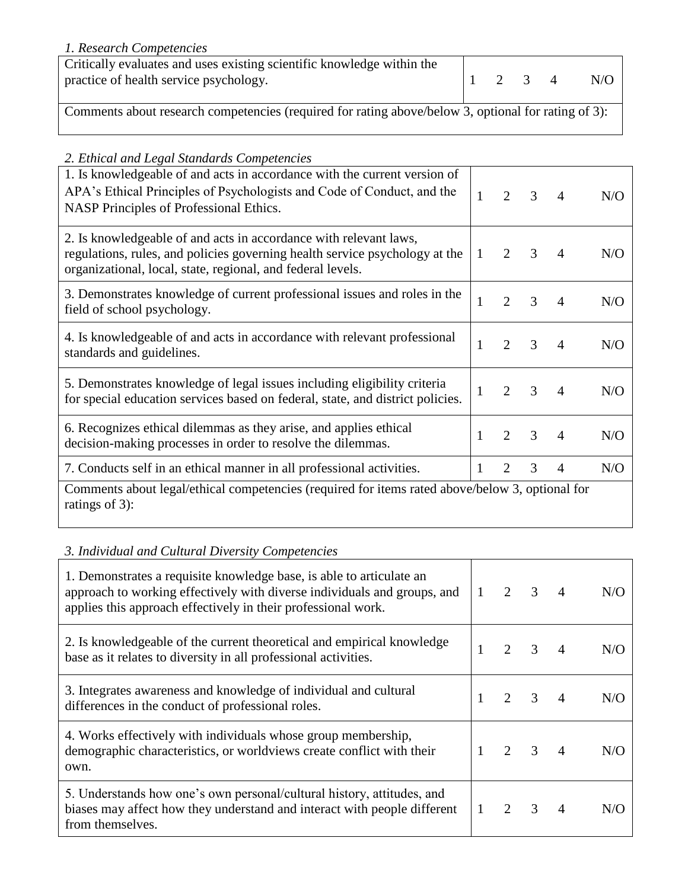#### *1. Research Competencies*

| Critically evaluates and uses existing scientific knowledge within the<br>practice of health service psychology. |  |  | 2 3 4 |  | N/O |  |  |
|------------------------------------------------------------------------------------------------------------------|--|--|-------|--|-----|--|--|
| Comments about research competencies (required for rating above/below 3, optional for rating of 3):              |  |  |       |  |     |  |  |

## *2. Ethical and Legal Standards Competencies*

| 2. Linicui una Lezai siunuarus Competencies<br>1. Is knowledgeable of and acts in accordance with the current version of<br>APA's Ethical Principles of Psychologists and Code of Conduct, and the<br>NASP Principles of Professional Ethics. |              | 2              | 3             | $\overline{A}$ | N/O |  |
|-----------------------------------------------------------------------------------------------------------------------------------------------------------------------------------------------------------------------------------------------|--------------|----------------|---------------|----------------|-----|--|
| 2. Is knowledgeable of and acts in accordance with relevant laws,<br>regulations, rules, and policies governing health service psychology at the<br>organizational, local, state, regional, and federal levels.                               | $\mathbf{1}$ | 2              | 3             | 4              | N/O |  |
| 3. Demonstrates knowledge of current professional issues and roles in the<br>field of school psychology.                                                                                                                                      | $\mathbf{1}$ | $\overline{2}$ | 3             | $\overline{4}$ | N/O |  |
| 4. Is knowledgeable of and acts in accordance with relevant professional<br>standards and guidelines.                                                                                                                                         |              | $\overline{2}$ | $\mathcal{F}$ | 4              | N/O |  |
| 5. Demonstrates knowledge of legal issues including eligibility criteria<br>for special education services based on federal, state, and district policies.                                                                                    |              | $\overline{2}$ | $\mathcal{F}$ | 4              | N/O |  |
| 6. Recognizes ethical dilemmas as they arise, and applies ethical<br>decision-making processes in order to resolve the dilemmas.                                                                                                              |              | $\mathfrak{D}$ | 3             | $\overline{4}$ | N/O |  |
| 7. Conducts self in an ethical manner in all professional activities.                                                                                                                                                                         | 1            | 2              | 3             | $\overline{4}$ | N/O |  |
| Comments about legal/ethical competencies (required for items rated above/below 3, optional for<br>ratings of 3):                                                                                                                             |              |                |               |                |     |  |

#### *3. Individual and Cultural Diversity Competencies*

| 1. Demonstrates a requisite knowledge base, is able to articulate an<br>approach to working effectively with diverse individuals and groups, and<br>applies this approach effectively in their professional work. | $\overline{2}$ | $\overline{3}$            | N/O |
|-------------------------------------------------------------------------------------------------------------------------------------------------------------------------------------------------------------------|----------------|---------------------------|-----|
| 2. Is knowledgeable of the current theoretical and empirical knowledge<br>base as it relates to diversity in all professional activities.                                                                         | 2              | $\mathcal{R}$             | N/O |
| 3. Integrates awareness and knowledge of individual and cultural<br>differences in the conduct of professional roles.                                                                                             |                | $\overline{3}$            | N/O |
| 4. Works effectively with individuals whose group membership,<br>demographic characteristics, or worldviews create conflict with their<br>own.                                                                    |                | $2 \quad 3$               | N/O |
| 5. Understands how one's own personal/cultural history, attitudes, and<br>biases may affect how they understand and interact with people different<br>from themselves.                                            | 2              | $\overline{\phantom{a}3}$ | N/O |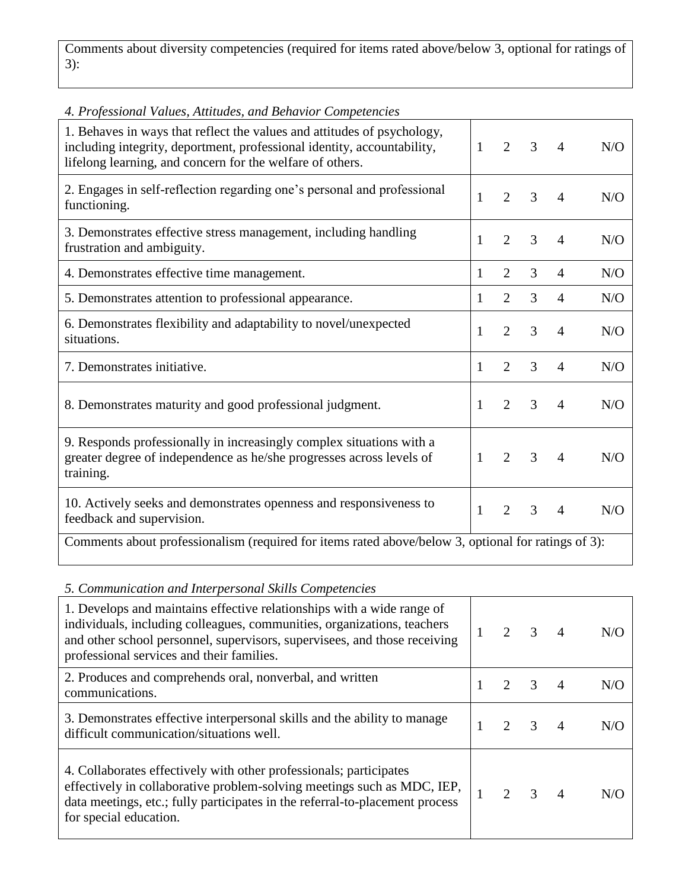Comments about diversity competencies (required for items rated above/below 3, optional for ratings of 3):

| 4. Professional Values, Attitudes, and Behavior Competencies                                                                                                                                                    |              |                |   |                |     |  |
|-----------------------------------------------------------------------------------------------------------------------------------------------------------------------------------------------------------------|--------------|----------------|---|----------------|-----|--|
| 1. Behaves in ways that reflect the values and attitudes of psychology,<br>including integrity, deportment, professional identity, accountability,<br>lifelong learning, and concern for the welfare of others. | $\mathbf{1}$ | $\overline{2}$ | 3 | 4              | N/O |  |
| 2. Engages in self-reflection regarding one's personal and professional<br>functioning.                                                                                                                         | $\mathbf{1}$ | $\overline{2}$ | 3 | 4              | N/O |  |
| 3. Demonstrates effective stress management, including handling<br>frustration and ambiguity.                                                                                                                   | 1            | $\overline{2}$ | 3 | $\overline{4}$ | N/O |  |
| 4. Demonstrates effective time management.                                                                                                                                                                      | 1            | $\overline{2}$ | 3 | 4              | N/O |  |
| 5. Demonstrates attention to professional appearance.                                                                                                                                                           | 1            | $\overline{2}$ | 3 | 4              | N/O |  |
| 6. Demonstrates flexibility and adaptability to novel/unexpected<br>situations.                                                                                                                                 | 1            | $\overline{2}$ | 3 | 4              | N/O |  |
| 7. Demonstrates initiative.                                                                                                                                                                                     | 1            | $\overline{2}$ | 3 | $\overline{4}$ | N/O |  |
| 8. Demonstrates maturity and good professional judgment.                                                                                                                                                        | 1            | $\overline{2}$ | 3 | 4              | N/O |  |
| 9. Responds professionally in increasingly complex situations with a<br>greater degree of independence as he/she progresses across levels of<br>training.                                                       | $\mathbf{1}$ | 2              | 3 | 4              | N/O |  |
| 10. Actively seeks and demonstrates openness and responsiveness to<br>feedback and supervision.                                                                                                                 | 1            | $\overline{2}$ | 3 | $\overline{4}$ | N/O |  |
| Comments about professionalism (required for items rated above/below 3, optional for ratings of 3):                                                                                                             |              |                |   |                |     |  |

### *5. Communication and Interpersonal Skills Competencies*

| 1. Develops and maintains effective relationships with a wide range of<br>individuals, including colleagues, communities, organizations, teachers<br>and other school personnel, supervisors, supervisees, and those receiving<br>professional services and their families. | 2                           | $3 \quad 4$   |                | N/O |
|-----------------------------------------------------------------------------------------------------------------------------------------------------------------------------------------------------------------------------------------------------------------------------|-----------------------------|---------------|----------------|-----|
| 2. Produces and comprehends oral, nonverbal, and written<br>communications.                                                                                                                                                                                                 | $\mathcal{D}_{\mathcal{L}}$ | $\mathcal{R}$ | $\overline{4}$ | N/O |
| 3. Demonstrates effective interpersonal skills and the ability to manage<br>difficult communication/situations well.                                                                                                                                                        |                             | 3             |                | N/G |
| 4. Collaborates effectively with other professionals; participates<br>effectively in collaborative problem-solving meetings such as MDC, IEP,<br>data meetings, etc.; fully participates in the referral-to-placement process<br>for special education.                     |                             | $2 \t 3 \t 4$ |                | N/O |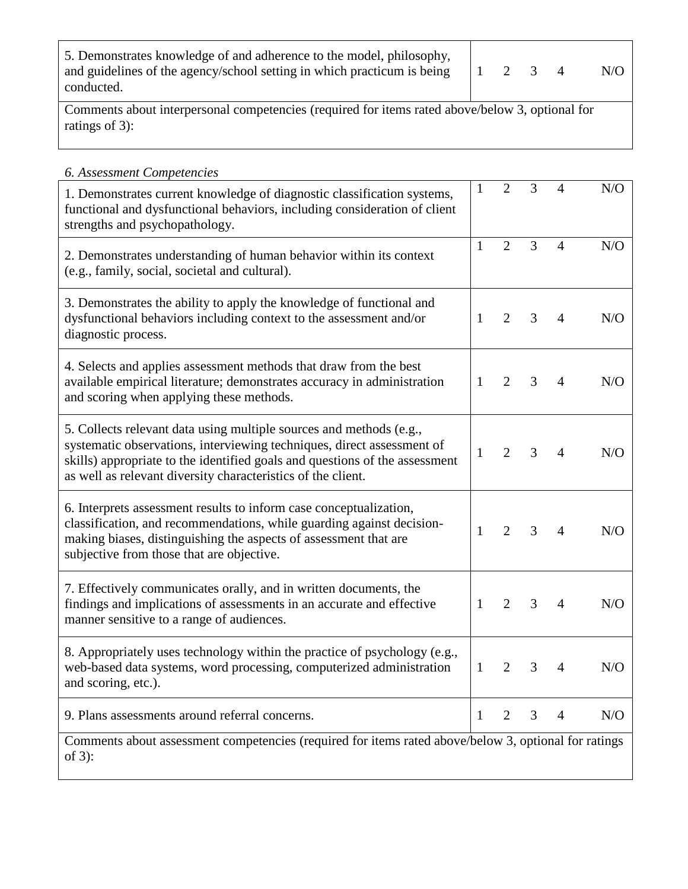| 5. Demonstrates knowledge of and adherence to the model, philosophy,                                                  |  |  |     |
|-----------------------------------------------------------------------------------------------------------------------|--|--|-----|
| and guidelines of the agency/school setting in which practicum is being $\begin{pmatrix} 1 & 2 & 3 & 4 \end{pmatrix}$ |  |  | N/O |
| conducted.                                                                                                            |  |  |     |

Comments about interpersonal competencies (required for items rated above/below 3, optional for ratings of 3):

#### *6. Assessment Competencies*  1. Demonstrates current knowledge of diagnostic classification systems, functional and dysfunctional behaviors, including consideration of client strengths and psychopathology.  $1 \t2 \t3 \t4 \t N/O$ 2. Demonstrates understanding of human behavior within its context (e.g., family, social, societal and cultural). 1 2 3 4 N/O 3. Demonstrates the ability to apply the knowledge of functional and dysfunctional behaviors including context to the assessment and/or diagnostic process. 1 2 3 4 N/O 4. Selects and applies assessment methods that draw from the best available empirical literature; demonstrates accuracy in administration and scoring when applying these methods. 1 2 3 4 N/O 5. Collects relevant data using multiple sources and methods (e.g., systematic observations, interviewing techniques, direct assessment of skills) appropriate to the identified goals and questions of the assessment as well as relevant diversity characteristics of the client. 1 2 3 4 N/O 6. Interprets assessment results to inform case conceptualization, classification, and recommendations, while guarding against decisionmaking biases, distinguishing the aspects of assessment that are subjective from those that are objective. 1 2 3 4 N/O 7. Effectively communicates orally, and in written documents, the

findings and implications of assessments in an accurate and effective manner sensitive to a range of audiences. 1 2 3 4 N/O 8. Appropriately uses technology within the practice of psychology (e.g., web-based data systems, word processing, computerized administration and scoring, etc.). 1 2 3 4 N/O 9. Plans assessments around referral concerns.  $\begin{array}{cccc} | & 1 & 2 & 3 & 4 \end{array}$  N/O Comments about assessment competencies (required for items rated above/below 3, optional for ratings of 3):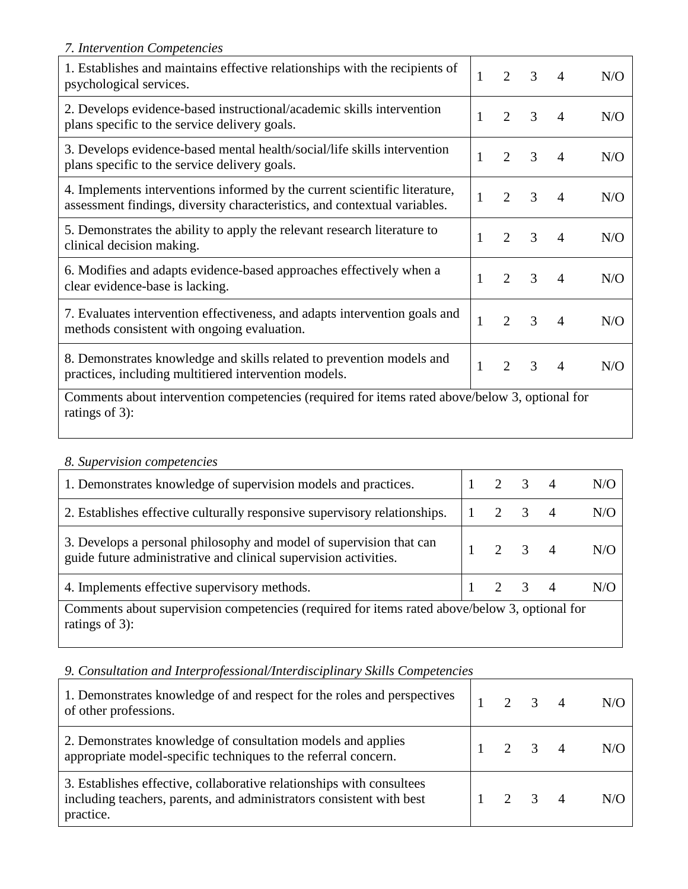|  | 7. Intervention Competencies |  |  |
|--|------------------------------|--|--|
|--|------------------------------|--|--|

| 1. Establishes and maintains effective relationships with the recipients of<br>psychological services.                                                  | 1            | $\mathcal{D}_{\mathcal{L}}$ | 3             | $\overline{4}$ | N/O |  |
|---------------------------------------------------------------------------------------------------------------------------------------------------------|--------------|-----------------------------|---------------|----------------|-----|--|
| 2. Develops evidence-based instructional/academic skills intervention<br>plans specific to the service delivery goals.                                  | 1            | 2                           | 3             | $\overline{4}$ | N/O |  |
| 3. Develops evidence-based mental health/social/life skills intervention<br>plans specific to the service delivery goals.                               | 1            | 2                           | 3             | $\overline{4}$ | N/O |  |
| 4. Implements interventions informed by the current scientific literature,<br>assessment findings, diversity characteristics, and contextual variables. | $\mathbf{1}$ | $\overline{2}$              | 3             | 4              | N/O |  |
| 5. Demonstrates the ability to apply the relevant research literature to<br>clinical decision making.                                                   | 1            | $\overline{2}$              | 3             | $\overline{4}$ | N/O |  |
| 6. Modifies and adapts evidence-based approaches effectively when a<br>clear evidence-base is lacking.                                                  | $\mathbf{1}$ | 2                           | 3             | $\overline{4}$ | N/O |  |
| 7. Evaluates intervention effectiveness, and adapts intervention goals and<br>methods consistent with ongoing evaluation.                               | 1            | 2                           | 3             | $\overline{4}$ | N/O |  |
| 8. Demonstrates knowledge and skills related to prevention models and<br>practices, including multitiered intervention models.                          | 1            | 2                           | $\mathcal{R}$ | $\overline{4}$ | N/O |  |
| Comments about intervention competencies (required for items rated above/below 3, optional for<br>ratings of 3):                                        |              |                             |               |                |     |  |

#### *8. Supervision competencies*

| 1. Demonstrates knowledge of supervision models and practices.                                                                          |  | $2 \quad 3$         |                |  | N/O |  |  |
|-----------------------------------------------------------------------------------------------------------------------------------------|--|---------------------|----------------|--|-----|--|--|
| 2. Establishes effective culturally responsive supervisory relationships.                                                               |  |                     | $\overline{3}$ |  | N/O |  |  |
| 3. Develops a personal philosophy and model of supervision that can<br>guide future administrative and clinical supervision activities. |  | $2 \quad 3 \quad 4$ |                |  | N/O |  |  |
| 4. Implements effective supervisory methods.                                                                                            |  | 2 3 4               |                |  | N/O |  |  |
| Comments about supervision competencies (required for items rated above/below 3, optional for<br>ratings of $3$ :                       |  |                     |                |  |     |  |  |

# *9. Consultation and Interprofessional/Interdisciplinary Skills Competencies*

| 1. Demonstrates knowledge of and respect for the roles and perspectives<br>of other professions.                                                           |       | $2 \t 3 \t 4$ | N/O |
|------------------------------------------------------------------------------------------------------------------------------------------------------------|-------|---------------|-----|
| 2. Demonstrates knowledge of consultation models and applies<br>appropriate model-specific techniques to the referral concern.                             | 2 3 4 |               | N/O |
| 3. Establishes effective, collaborative relationships with consultees<br>including teachers, parents, and administrators consistent with best<br>practice. | 2 3 4 |               | N/O |